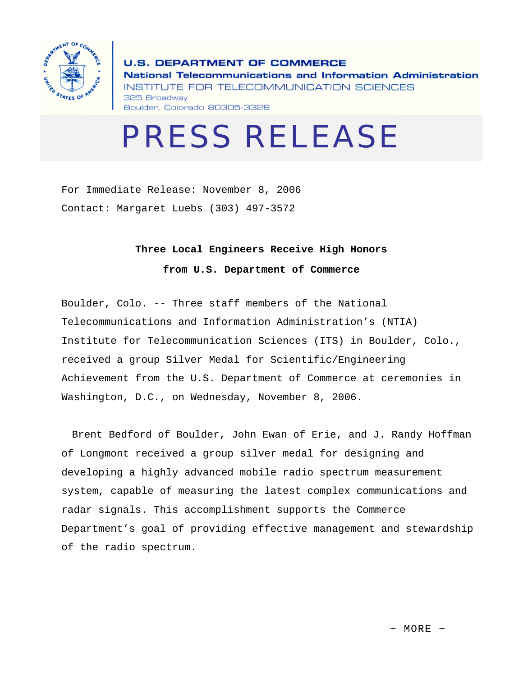

**U.S. DEPARTMENT OF COMMERCE** National Telecommunications and Information Administration INSTITUTE FOR TELECOMMUNICATION SCIENCES 325 Broadway Boulder, Colorado 80305-3328

## PRESS RELEASE

For Immediate Release: November 8, 2006 Contact: Margaret Luebs (303) 497-3572

## **Three Local Engineers Receive High Honors**

**from U.S. Department of Commerce** 

Boulder, Colo. -- Three staff members of the National Telecommunications and Information Administration's (NTIA) Institute for Telecommunication Sciences (ITS) in Boulder, Colo., received a group Silver Medal for Scientific/Engineering Achievement from the U.S. Department of Commerce at ceremonies in Washington, D.C., on Wednesday, November 8, 2006.

Brent Bedford of Boulder, John Ewan of Erie, and J. Randy Hoffman of Longmont received a group silver medal for designing and developing a highly advanced mobile radio spectrum measurement system, capable of measuring the latest complex communications and radar signals. This accomplishment supports the Commerce Department's goal of providing effective management and stewardship of the radio spectrum.